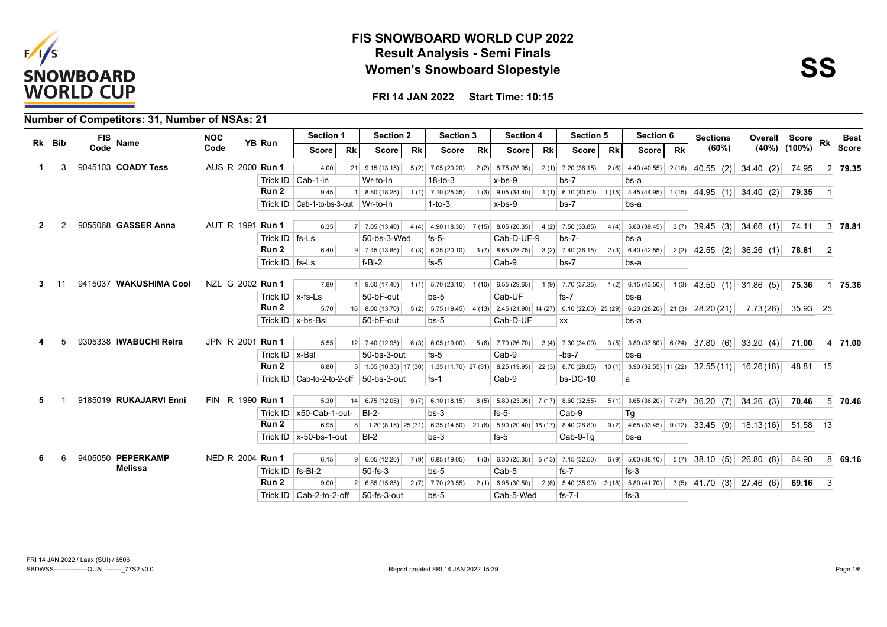



|              |        | Number of Competitors: 31, Number of NSAs: 21 |                  |                      |                                  |           |                                            |           |                                                                                                    |           |                                                           |           |                     |           |                     |           |                 |                                                                                                                                     |                    |           |                |
|--------------|--------|-----------------------------------------------|------------------|----------------------|----------------------------------|-----------|--------------------------------------------|-----------|----------------------------------------------------------------------------------------------------|-----------|-----------------------------------------------------------|-----------|---------------------|-----------|---------------------|-----------|-----------------|-------------------------------------------------------------------------------------------------------------------------------------|--------------------|-----------|----------------|
|              | Rk Bib | <b>FIS</b><br>Name                            | <b>NOC</b>       | YB Run               | <b>Section 1</b>                 |           | <b>Section 2</b>                           |           | <b>Section 3</b>                                                                                   |           | <b>Section 4</b>                                          |           | Section 5           |           | Section 6           |           | <b>Sections</b> |                                                                                                                                     | Overall Score      | Rk        | <b>Best</b>    |
|              |        | Code                                          | Code             |                      | Score l                          | <b>Rk</b> | Score                                      | <b>Rk</b> | Score                                                                                              | <b>Rk</b> | Score                                                     | <b>Rk</b> | Score               | <b>Rk</b> | Score l             | <b>Rk</b> | (60%)           |                                                                                                                                     | $(40\%)$ $(100\%)$ |           | <b>Score</b>   |
| $\mathbf 1$  | 3      | 9045103 COADY Tess                            | AUS R 2000 Run 1 |                      | 4.00                             | 21        | 9.15(13.15)                                |           | $5(2)$ 7.05 (20.20)                                                                                |           | $2(2)$ 8.75 (28.95)                                       |           | $2(1)$ 7.20 (36.15) |           | $2(6)$ 4.40 (40.55) | 2(16)     |                 | 40.55 (2) 34.40 (2)                                                                                                                 | 74.95              |           | 2 79.35        |
|              |        |                                               |                  |                      | Trick ID   Cab-1-in              |           | Wr-to-In                                   |           | $18-to-3$                                                                                          |           | $x$ -bs- $9$                                              |           | $bs-7$              |           | bs-a                |           |                 |                                                                                                                                     |                    |           |                |
|              |        |                                               |                  | Run 2                | 9.45                             |           | 8.80 (18.25)                               |           | $1(1)$ 7.10 (25.35)                                                                                |           | $1(3)$ 9.05 (34.40)                                       |           |                     |           |                     |           |                 | $1(1)$ 6.10 (40.50) 1 (15) 4.45 (44.95) 1 (15) 44.95 (1) 34.40 (2)                                                                  | 79.35              | $\vert$ 1 |                |
|              |        |                                               |                  |                      | Trick ID   Cab-1-to-bs-3-out     |           | Wr-to-In                                   |           | $1-to-3$                                                                                           |           | $x$ -bs- $9$                                              |           | $bs-7$              |           | bs-a                |           |                 |                                                                                                                                     |                    |           |                |
| $\mathbf{2}$ |        | 9055068 GASSER Anna                           | AUT R 1991 Run 1 |                      | 6.35                             |           | $7 \mid 7.05(13.40) \mid$                  |           | $4(4)$ 4.90 (18.30) 7 (15) 8.05 (26.35)                                                            |           |                                                           |           | 4 (2) 7.50 (33.85)  |           | $4(4)$ 5.60 (39.45) |           |                 | $3(7)$ 39.45 (3) 34.66 (1)                                                                                                          | 74.11              |           | $3 \mid 78.81$ |
|              |        |                                               |                  | Trick $ID$ fs-Ls     |                                  |           | 50-bs-3-Wed                                |           | $fs-5-$                                                                                            |           | Cab-D-UF-9                                                |           | $bs-7-$             |           | bs-a                |           |                 |                                                                                                                                     |                    |           |                |
|              |        |                                               |                  | Run <sub>2</sub>     | 6.40                             |           | $9 \mid 7.45(13.85) \mid$                  |           | $4(3)$ 6.25 (20.10) 3 (7) 8.65 (28.75) 3 (2) 7.40 (36.15)                                          |           |                                                           |           |                     |           | 2(3) 6.40(42.55)    |           |                 | $2(2)$ 42.55 (2) 36.26 (1)                                                                                                          | 78.81              | $\vert$ 2 |                |
|              |        |                                               |                  | Trick $ID$   fs-Ls   |                                  |           | $f-BI-2$                                   |           | $fs-5$                                                                                             |           | Cab-9                                                     |           | $bs-7$              |           | bs-a                |           |                 |                                                                                                                                     |                    |           |                |
|              |        | 9415037 WAKUSHIMA Cool                        | NZL G 2002 Run 1 |                      | 7.80                             |           | $4 \mid 9.60(17.40) \mid$                  |           | $1(1)$ 5.70 (23.10) 1 (10) 6.55 (29.65)                                                            |           |                                                           |           |                     |           |                     |           |                 | $1(9)$ 7.70 (37.35) $1(2)$ 6.15 (43.50) $1(3)$ 43.50 (1) 31.86 (5)                                                                  | 75.36              |           | 1 75.36        |
|              |        |                                               |                  | Trick $ID$   x-fs-Ls |                                  |           | 50-bF-out                                  |           | $bs-5$                                                                                             |           | Cab-UF                                                    |           | $fs-7$              |           | bs-a                |           |                 |                                                                                                                                     |                    |           |                |
|              |        |                                               |                  | Run 2                | 5.70                             |           | $16$ 8.00 (13.70)                          |           | 5 (2) 5.75 (19.45) 4 (13) 2.45 (21.90) 14 (27) 0.10 (22.00) 25 (29) 6.20 (28.20) 21 (3) 28.20 (21) |           |                                                           |           |                     |           |                     |           |                 | 7.73(26)                                                                                                                            | $35.93$ 25         |           |                |
|              |        |                                               |                  |                      | Trick ID   x-bs-Bsl              |           | 50-bF-out                                  |           | $bs-5$                                                                                             |           | Cab-D-UF                                                  |           | XX                  |           | bs-a                |           |                 |                                                                                                                                     |                    |           |                |
|              |        |                                               |                  |                      |                                  |           |                                            |           |                                                                                                    |           |                                                           |           |                     |           |                     |           |                 |                                                                                                                                     |                    |           |                |
|              |        | 9305338 IWABUCHI Reira                        | JPN R 2001 Run 1 |                      | 5.55                             |           | 12 7.40 (12.95)                            |           | 6(3) 6.05(19.00)                                                                                   |           |                                                           |           |                     |           |                     |           |                 | $5(6)$ 7.70 (26.70) 3 (4) 7.30 (34.00) 3 (5) 3.80 (37.80) 6 (24) 37.80 (6) 33.20 (4)                                                | 71.00              |           | 4 71.00        |
|              |        |                                               |                  | Trick $ID$   x-BsI   |                                  |           | 50-bs-3-out                                |           | $fs-5$                                                                                             |           | Cab-9                                                     |           | $-bs-7$             |           | bs-a                |           |                 |                                                                                                                                     |                    |           |                |
|              |        |                                               |                  | Run 2                | 8.80                             |           |                                            |           |                                                                                                    |           |                                                           |           |                     |           |                     |           |                 | $3 1.55(10.35) 17(30) 1.35(11.70) 27(31) 8.25(19.95) 22(3) 8.70(28.65) 10(1) 3.90(32.55) 11(22) 32.55(11) 16.26(18) $               | 48.81 15           |           |                |
|              |        |                                               |                  |                      |                                  |           | Trick ID   Cab-to-2-to-2-off   50-bs-3-out |           | $fs-1$                                                                                             |           | Cab-9                                                     |           | $bs-DC-10$          |           | a                   |           |                 |                                                                                                                                     |                    |           |                |
| 5            |        | 9185019 RUKAJARVI Enni                        | FIN R 1990 Run 1 |                      | 5.30                             | 14        | 6.75(12.05)                                |           | $9(7)$ 6.10 (18.15)                                                                                |           | $8(5)$ 5.80 (23.95) 7 (17) 8.60 (32.55)                   |           |                     |           |                     |           |                 | $5(1)$ 3.65 (36.20) $7(27)$ 36.20 (7) 34.26 (3)                                                                                     | 70.46              |           | 5 70.46        |
|              |        |                                               |                  |                      | Trick ID $\vert x50$ -Cab-1-out- |           | $B-I-2-$                                   |           | $bs-3$                                                                                             |           | $fs-5-$                                                   |           | Cab-9               |           | Тg                  |           |                 |                                                                                                                                     |                    |           |                |
|              |        |                                               |                  | Run <sub>2</sub>     | 6.95                             |           |                                            |           |                                                                                                    |           |                                                           |           |                     |           |                     |           |                 | 8 1.20 (8.15) 25 (31) 6.35 (14.50) 21 (6) 5.90 (20.40) 18 (17) 8.40 (28.80) 9 (2) 4.65 (33.45) 9 (12) 33.45 (9) 18.13 (16) 51.58 13 |                    |           |                |
|              |        |                                               |                  |                      | Trick ID $\vert x$ -50-bs-1-out  |           | $B-I-2$                                    |           | $bs-3$                                                                                             |           | $fs-5$                                                    |           | Cab-9-Tq            |           | bs-a                |           |                 |                                                                                                                                     |                    |           |                |
| 6            |        | 9405050 PEPERKAMP                             | NED R 2004 Run 1 |                      | 6.15                             |           | 9   6.05 (12.20)                           |           | $7(9)$ 6.85 (19.05)                                                                                |           | 4 (3) 6.30 (25.35) 5 (13) 7.15 (32.50) 6 (9) 5.60 (38.10) |           |                     |           |                     |           |                 | $5(7)$ 38.10 (5) 26.80 (8)                                                                                                          | 64.90              |           | $8 \mid 69.16$ |
|              |        | <b>Melissa</b>                                |                  | Trick $ID$   fs-BI-2 |                                  |           | $50-fs-3$                                  |           | $bs-5$                                                                                             |           | Cab-5                                                     |           | $fs-7$              |           | $fs-3$              |           |                 |                                                                                                                                     |                    |           |                |
|              |        |                                               |                  | Run 2                | 9.00                             |           | $2 \mid 6.85(15.85)$                       |           | $2(7)$ 7.70 (23.55)                                                                                |           | 2(1) 6.95 (30.50) 2(6) 5.40 (35.90) 3(18) 5.80 (41.70)    |           |                     |           |                     |           |                 | $3(5)$ 41.70 (3) 27.46 (6)                                                                                                          | 69.16              | $\vert$ 3 |                |
|              |        |                                               |                  |                      | Trick ID   Cab-2-to-2-off        |           | 50-fs-3-out                                |           | $bs-5$                                                                                             |           | Cab-5-Wed                                                 |           | $fs-7-1$            |           | $fs-3$              |           |                 |                                                                                                                                     |                    |           |                |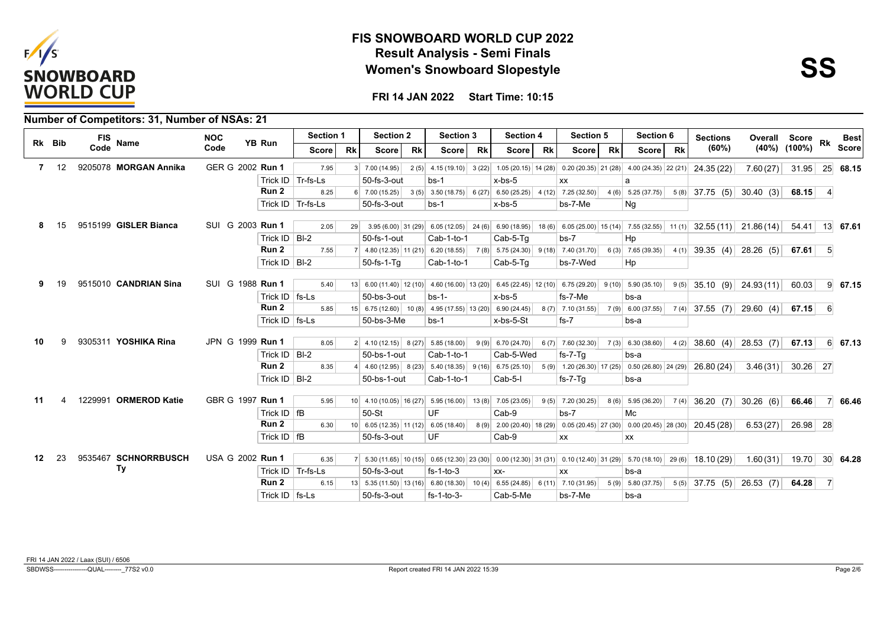



|    |              | FIS                   | <b>NOC</b>       |                    | Section 1           |           | <b>Section 2</b>                                                                                                     |           | Section 3                                                   |           | <b>Section 4</b> |           | <b>Section 5</b>    |           | Section 6                                                                                                          |           | <b>Sections</b>                                                                                                            | Overall Score Rk    |                  |                | <b>Best</b>     |
|----|--------------|-----------------------|------------------|--------------------|---------------------|-----------|----------------------------------------------------------------------------------------------------------------------|-----------|-------------------------------------------------------------|-----------|------------------|-----------|---------------------|-----------|--------------------------------------------------------------------------------------------------------------------|-----------|----------------------------------------------------------------------------------------------------------------------------|---------------------|------------------|----------------|-----------------|
|    | Rk Bib       | Name<br>Code          | Code             | YB Run             | Score l             | <b>Rk</b> | <b>Score</b>                                                                                                         | <b>Rk</b> | <b>Score</b>                                                | <b>Rk</b> | Score            | <b>Rk</b> | <b>Score</b>        | <b>Rk</b> | Score l                                                                                                            | <b>Rk</b> | (60%)                                                                                                                      | (40%)               | $(100\%)$        |                | <b>Score</b>    |
|    | $7 \quad 12$ | 9205078 MORGAN Annika | GER G 2002 Run 1 |                    | 7.95                |           | $3 \mid 7.00(14.95)$                                                                                                 |           |                                                             |           |                  |           |                     |           | 2(5) $\begin{bmatrix} 4.15 \ (19.10) \end{bmatrix}$ 3(22) 1.05(20.15) 14(28) 0.20(20.35) 21(28) 4.00(24.35) 22(21) |           | 24.35 (22)                                                                                                                 | 7.60(27)            | 31.95            |                | $25 \mid 68.15$ |
|    |              |                       |                  |                    | Trick ID   Tr-fs-Ls |           | 50-fs-3-out                                                                                                          |           | $bs-1$                                                      |           | x-bs-5           |           | ХX                  |           | a                                                                                                                  |           |                                                                                                                            |                     |                  |                |                 |
|    |              |                       |                  | Run 2              | 8.25                |           | $6$ 7.00 (15.25)                                                                                                     |           | $3(5)$ 3.50 (18.75) 6 (27) 6.50 (25.25) 4 (12) 7.25 (32.50) |           |                  |           |                     |           | $4(6)$ 5.25 (37.75)                                                                                                |           | $5(8)$ 37.75 (5) 30.40 (3)                                                                                                 |                     | 68.15            | $\vert$        |                 |
|    |              |                       |                  |                    | Trick ID   Tr-fs-Ls |           | 50-fs-3-out                                                                                                          |           | $bs-1$                                                      |           | $x$ -bs- $5$     |           | bs-7-Me             |           | Ng                                                                                                                 |           |                                                                                                                            |                     |                  |                |                 |
|    | 15           | 9515199 GISLER Bianca | SUI G 2003 Run 1 |                    | 2.05                | 29        |                                                                                                                      |           |                                                             |           |                  |           |                     |           |                                                                                                                    |           | 3.95 (6.00) 31 (29) 6.05 (12.05) 24 (6) 6.90 (18.95) 18 (6) 6.05 (25.00) 15 (14) 7.55 (32.55) 11 (1) 32.55 (11) 21.86 (14) |                     | $54.41$ 13 67.61 |                |                 |
|    |              |                       |                  | Trick ID $ B -2$   |                     |           | 50-fs-1-out                                                                                                          |           | Cab-1-to-1                                                  |           | Cab-5-Tq         |           | $bs-7$              |           | Hp                                                                                                                 |           |                                                                                                                            |                     |                  |                |                 |
|    |              |                       |                  | Run 2              | 7.55                |           | 7 4.80 (12.35) 11 (21) 6.20 (18.55) 7 (8) 5.75 (24.30) 9 (18) 7.40 (31.70)                                           |           |                                                             |           |                  |           |                     |           | $6(3)$ 7.65 (39.35)                                                                                                |           | $4(1)$ 39.35 (4) 28.26 (5)                                                                                                 |                     | 67.61            | - 5            |                 |
|    |              |                       |                  | Trick $ID$ $BI-2$  |                     |           | $50$ -fs-1- $Tq$                                                                                                     |           | Cab-1-to-1                                                  |           | $Cab-5-Tg$       |           | bs-7-Wed            |           | Hp                                                                                                                 |           |                                                                                                                            |                     |                  |                |                 |
|    |              |                       |                  |                    |                     |           |                                                                                                                      |           |                                                             |           |                  |           |                     |           |                                                                                                                    |           |                                                                                                                            |                     |                  |                |                 |
| 9  | 19           | 9515010 CANDRIAN Sina | SUI G 1988 Run 1 |                    | 5.40                |           | 13 6.00 (11.40) 12 (10) 4.60 (16.00) 13 (20) 6.45 (22.45) 12 (10) 6.75 (29.20) 9 (10) 5.90 (35.10)                   |           |                                                             |           |                  |           |                     |           |                                                                                                                    |           | $9(5)$ 35.10 (9) 24.93(11)                                                                                                 |                     | 60.03            |                | $9 \mid 67.15$  |
|    |              |                       |                  | Trick $ID$   fs-Ls |                     |           | $50$ -bs- $3$ -out                                                                                                   |           | $bs-1-$                                                     |           | $x$ -bs- $5$     |           | fs-7-Me             |           | bs-a                                                                                                               |           |                                                                                                                            |                     |                  |                |                 |
|    |              |                       |                  | Run 2              | 5.85                |           | 15 6.75 (12.60) 10 (8) 4.95 (17.55) 13 (20) 6.90 (24.45)                                                             |           |                                                             |           |                  |           | $8(7)$ 7.10 (31.55) |           | $7(9)$ 6.00 (37.55)                                                                                                |           | $7(4)$ 37.55 (7) 29.60 (4)                                                                                                 |                     | 67.15            | -61            |                 |
|    |              |                       |                  | Trick $ID$   fs-Ls |                     |           | 50-bs-3-Me                                                                                                           |           | $bs-1$                                                      |           | x-bs-5-St        |           | $fs-7$              |           | bs-a                                                                                                               |           |                                                                                                                            |                     |                  |                |                 |
| 10 | g            | 9305311 YOSHIKA Rina  | JPN G 1999 Run 1 |                    | 8.05                |           | $2 \mid 4.10(12.15) \mid 8(27) \mid 5.85(18.00)$                                                                     |           |                                                             |           | 9(9) 6.70(24.70) |           | $6(7)$ 7.60 (32.30) |           | $7(3)$ 6.30 (38.60)                                                                                                |           | $4(2)$ 38.60 (4) 28.53 (7)                                                                                                 |                     | 67.13            |                | $6 \quad 67.13$ |
|    |              |                       |                  | Trick ID $ B -2$   |                     |           | 50-bs-1-out                                                                                                          |           | Cab-1-to-1                                                  |           | Cab-5-Wed        |           | $fs-7-Tq$           |           | bs-a                                                                                                               |           |                                                                                                                            |                     |                  |                |                 |
|    |              |                       |                  | Run 2              | 8.35                |           | 4 4.60 (12.95) 8 (23) 5.40 (18.35) 9 (16) 6.75 (25.10)                                                               |           |                                                             |           |                  |           |                     |           | $5(9)$ 1.20 (26.30) 17 (25) 0.50 (26.80) 24 (29)                                                                   |           | 26.80 (24)                                                                                                                 | 3.46(31)            | $30.26$ 27       |                |                 |
|    |              |                       |                  | Trick ID $ B -2$   |                     |           | 50-bs-1-out                                                                                                          |           | Cab-1-to-1                                                  |           | Cab-5-I          |           | fs-7-Tq             |           | bs-a                                                                                                               |           |                                                                                                                            |                     |                  |                |                 |
|    |              |                       |                  |                    |                     |           |                                                                                                                      |           |                                                             |           |                  |           |                     |           |                                                                                                                    |           |                                                                                                                            |                     |                  |                |                 |
| 11 |              | 1229991 ORMEROD Katie | GBR G 1997 Run 1 |                    | 5.95                |           | $10 \mid 4.10(10.05) \mid 16(27) \mid 5.95(16.00) \mid 13(8) \mid 7.05(23.05) \mid$                                  |           |                                                             |           |                  |           | $9(5)$ 7.20 (30.25) |           | $8(6)$ 5.95 (36.20)                                                                                                |           | $7(4)$ 36.20 (7) 30.26 (6)                                                                                                 |                     | 66.46            |                | 7 66.46         |
|    |              |                       |                  | Trick $ID$   fB    |                     |           | 50-St                                                                                                                |           | UF                                                          |           | $Cab-9$          |           | $bs-7$              |           | Mc                                                                                                                 |           |                                                                                                                            |                     |                  |                |                 |
|    |              |                       |                  | Run 2              | 6.30                |           | $10$ 6.05 (12.35) 11 (12) 6.05 (18.40)                                                                               |           |                                                             |           |                  |           |                     |           |                                                                                                                    |           | $8(9)$ 2.00 (20.40) 18 (29) 0.05 (20.45) 27 (30) 0.00 (20.45) 28 (30) 20.45 (28)                                           | $6.53(27)$ 26.98 28 |                  |                |                 |
|    |              |                       |                  | Trick $ID$ $IB$    |                     |           | 50-fs-3-out                                                                                                          |           | UF                                                          |           | Cab-9            |           | XX                  |           | <b>XX</b>                                                                                                          |           |                                                                                                                            |                     |                  |                |                 |
| 12 | 23           | 9535467 SCHNORRBUSCH  | USA G 2002 Run 1 |                    | 6.35                |           | 7 5.30 (11.65) 10 (15) 0.65 (12.30) 23 (30) 0.00 (12.30) 31 (31) 0.10 (12.40) 31 (29) 5.70 (18.10) 29 (6) 18.10 (29) |           |                                                             |           |                  |           |                     |           |                                                                                                                    |           |                                                                                                                            | 1.60(31)            | 19.70            |                | 30 64.28        |
|    |              | Ту                    |                  |                    | Trick ID   Tr-fs-Ls |           | $50$ -fs-3-out                                                                                                       |           | $fs-1-to-3$                                                 |           | $XX-$            |           | XX                  |           | bs-a                                                                                                               |           |                                                                                                                            |                     |                  |                |                 |
|    |              |                       |                  | Run 2              | 6.15                |           |                                                                                                                      |           |                                                             |           |                  |           |                     |           | $5(9)$ 5.80 (37.75)                                                                                                |           | $5(5)$ 37.75 (5) 26.53 (7)                                                                                                 |                     | 64.28            | $\overline{7}$ |                 |
|    |              |                       |                  | Trick ID   fs-Ls   |                     |           | 50-fs-3-out                                                                                                          |           | $fs-1-to-3-$                                                |           | Cab-5-Me         |           | bs-7-Me             |           | bs-a                                                                                                               |           |                                                                                                                            |                     |                  |                |                 |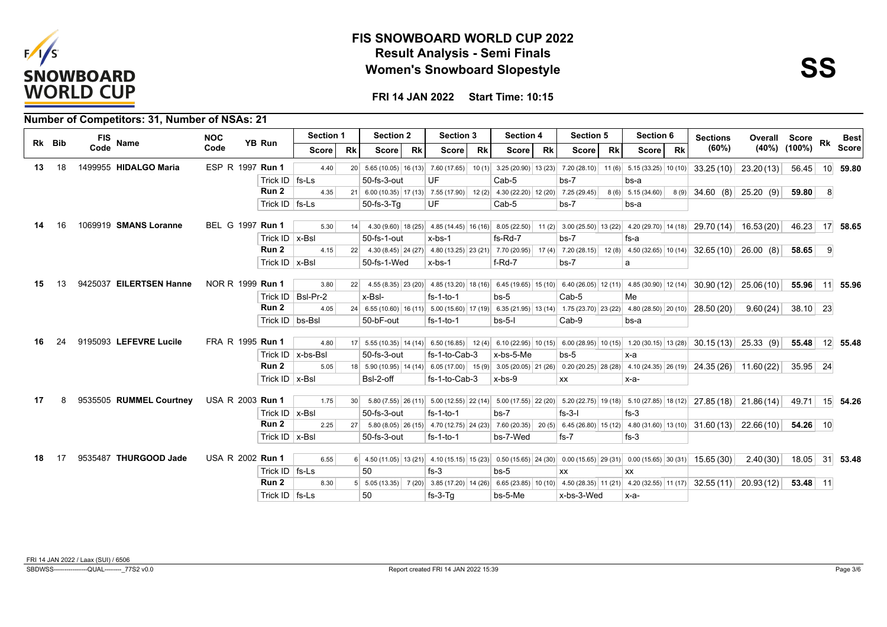



|     |        | Number of Competitors: 31, Number of NSAs: 21 |                         |                      |                     |                 |                  |           |                  |           |                                                                                                                                                     |           |                  |           |                     |           |                                                         |               |                    |                 |                 |
|-----|--------|-----------------------------------------------|-------------------------|----------------------|---------------------|-----------------|------------------|-----------|------------------|-----------|-----------------------------------------------------------------------------------------------------------------------------------------------------|-----------|------------------|-----------|---------------------|-----------|---------------------------------------------------------|---------------|--------------------|-----------------|-----------------|
|     | Rk Bib | FIS<br><b>Name</b>                            | <b>NOC</b>              | <b>YB Run</b>        | Section 1           |                 | <b>Section 2</b> |           | <b>Section 3</b> |           | Section 4                                                                                                                                           |           | <b>Section 5</b> |           | Section 6           |           | <b>Sections</b>                                         | Overall Score |                    | Rk              | <b>Best</b>     |
|     |        | Code                                          | Code                    |                      | Score               | <b>Rk</b>       | Score            | <b>Rk</b> | Score            | <b>Rk</b> | <b>Score</b>                                                                                                                                        | <b>Rk</b> | Score            | <b>Rk</b> | Score               | <b>Rk</b> | (60%)                                                   |               | $(40\%)$ $(100\%)$ |                 | <b>Score</b>    |
| 13  | 18     | 1499955 HIDALGO Maria                         | ESP R 1997 Run 1        |                      | 4.40                |                 |                  |           |                  |           | 20 5.65 (10.05) 16 (13) 7.60 (17.65) 10 (1) 3.25 (20.90) 13 (23) 7.20 (28.10) 11 (6) 5.15 (33.25) 10 (10)                                           |           |                  |           |                     |           | $33.25(10)$ 23.20(13)                                   |               | 56.45              | 10 <sup>1</sup> | 59.80           |
|     |        |                                               |                         | Trick $ID$   fs-Ls   |                     |                 | 50-fs-3-out      |           | UF               |           | Cab-5                                                                                                                                               |           | $bs-7$           |           | bs-a                |           |                                                         |               |                    |                 |                 |
|     |        |                                               |                         | Run 2                | 4.35                |                 |                  |           |                  |           | 21 6.00 (10.35) 17 (13) 7.55 (17.90) 12 (2) 4.30 (22.20) 12 (20) 7.25 (29.45)                                                                       |           |                  |           | $8(6)$ 5.15 (34.60) |           | $8(9)$ 34.60 (8) 25.20 (9)                              |               | 59.80              | -8              |                 |
|     |        |                                               |                         | Trick $ID$   fs-Ls   |                     |                 | 50-fs-3-Tq       |           | UF               |           | Cab-5                                                                                                                                               |           | $bs-7$           |           | bs-a                |           |                                                         |               |                    |                 |                 |
| 14  | 16     | 1069919 SMANS Loranne                         | BEL G 1997 Run 1        |                      | 5.30                | 14              |                  |           |                  |           | 4.30 (9.60) 18 (25) 4.85 (14.45) 16 (16) 8.05 (22.50) 11 (2) 3.00 (25.50) 13 (22) 4.20 (29.70) 14 (18) 29.70 (14) 16.53 (20)                        |           |                  |           |                     |           |                                                         |               | 46.23 17 58.65     |                 |                 |
|     |        |                                               |                         | Trick $ID$   x-BsI   |                     |                 | 50-fs-1-out      |           | $x$ -bs-1        |           | fs-Rd-7                                                                                                                                             |           | $bs-7$           |           | fs-a                |           |                                                         |               |                    |                 |                 |
|     |        |                                               |                         | Run <sub>2</sub>     | 4.15                |                 |                  |           |                  |           | 22 4.30 (8.45) 24 (27) 4.80 (13.25) 23 (21) 7.70 (20.95) 17 (4) 7.20 (28.15)                                                                        |           |                  |           |                     |           | 12 (8) $\mid$ 4.50 (32.65) 10 (14) 32.65 (10) 26.00 (8) |               | 58.65              | -9              |                 |
|     |        |                                               |                         | Trick $ID$   x-BsI   |                     |                 | 50-fs-1-Wed      |           | $x$ -bs-1        |           | $f-Rd-7$                                                                                                                                            |           | $bs-7$           |           | a                   |           |                                                         |               |                    |                 |                 |
|     |        |                                               |                         |                      |                     |                 |                  |           |                  |           |                                                                                                                                                     |           |                  |           |                     |           |                                                         |               |                    |                 |                 |
| 15. | 13     | 9425037 EILERTSEN Hanne                       | NOR R 1999 Run 1        |                      | 3.80                |                 |                  |           |                  |           | 22 4.55 (8.35) 23 (20) 4.65 (13.20) 18 (16) 6.45 (19.65) 15 (10) 6.40 (26.05) 12 (11) 4.85 (30.90) 12 (14) 30.90 (12) 25.06 (10)                    |           |                  |           |                     |           |                                                         |               | 55.96 11 55.96     |                 |                 |
|     |        |                                               |                         |                      | Trick ID   BsI-Pr-2 |                 | x-Bsl-           |           | $fs-1-to-1$      |           | $bs-5$                                                                                                                                              |           | Cab-5            |           | Me                  |           |                                                         |               |                    |                 |                 |
|     |        |                                               |                         | Run 2                | 4.05                |                 |                  |           |                  |           | 24 6.55 (10.60) 16 (11) 5.00 (15.60) 17 (19) 6.35 (21.95) 13 (14) 1.75 (23.70) 23 (22) 4.80 (28.50) 20 (10) 28.50 (20)                              |           |                  |           |                     |           |                                                         | 9.60(24)      | $38.10$ 23         |                 |                 |
|     |        |                                               |                         | Trick ID   bs-Bsl    |                     |                 | 50-bF-out        |           | $fs-1-to-1$      |           | $bs-5-1$                                                                                                                                            |           | Cab-9            |           | bs-a                |           |                                                         |               |                    |                 |                 |
|     |        |                                               |                         |                      |                     |                 |                  |           |                  |           |                                                                                                                                                     |           |                  |           |                     |           |                                                         |               |                    |                 |                 |
| 16. | 24     | 9195093 LEFEVRE Lucile                        | FRA R 1995 Run 1        |                      | 4.80                |                 |                  |           |                  |           | 17 5.55 (10.35) 14 (14) 6.50 (16.85) 12 (4) 6.10 (22.95) 10 (15) 6.00 (28.95) 10 (15) 1.20 (30.15) 13 (28) 30.15 (13) 25.33 (9)                     |           |                  |           |                     |           |                                                         |               | 55.48              |                 | 12 55.48        |
|     |        |                                               |                         |                      | Trick ID   x-bs-BsI |                 | 50-fs-3-out      |           | fs-1-to-Cab-3    |           | x-bs-5-Me                                                                                                                                           |           | $bs-5$           |           | x-a                 |           |                                                         |               |                    |                 |                 |
|     |        |                                               |                         | Run 2                | 5.05                |                 |                  |           |                  |           | 18 5.90 (10.95) 14 (14) 6.05 (17.00) 15 (9) 3.05 (20.05) 21 (26) 0.20 (20.25) 28 (28) 4.10 (24.35) 26 (19) 24.35 (26) 11.60 (22)                    |           |                  |           |                     |           |                                                         |               | $35.95$ 24         |                 |                 |
|     |        |                                               |                         | Trick $ID \mid x-Bs$ |                     |                 | BsI-2-off        |           | fs-1-to-Cab-3    |           | x-bs-9                                                                                                                                              |           | XX               |           | $x-a-$              |           |                                                         |               |                    |                 |                 |
| 17  | 8      | 9535505 RUMMEL Courtney                       | USA R 2003 <b>Run 1</b> |                      | 1.75                | 30 <sup>2</sup> |                  |           |                  |           |                                                                                                                                                     |           |                  |           |                     |           |                                                         |               | 49.71              |                 |                 |
|     |        |                                               |                         | Trick ID   x-Bsl     |                     |                 | 50-fs-3-out      |           | $fs-1-to-1$      |           | $5.80(7.55)$ $26(11)$ $5.00(12.55)$ $22(14)$ $5.00(17.55)$ $22(20)$ $5.20(22.75)$ $19(18)$ $5.10(27.85)$ $18(12)$ $27.85(18)$ $21.86(14)$<br>$bs-7$ |           | $fs-3-I$         |           | $fs-3$              |           |                                                         |               |                    |                 | 15 54.26        |
|     |        |                                               |                         | Run <sub>2</sub>     | 2.25                |                 |                  |           |                  |           | 27 5.80 (8.05) 26 (15) 4.70 (12.75) 24 (23) 7.60 (20.35) 20 (5) 6.45 (26.80) 15 (12) 4.80 (31.60) 13 (10) 31.60 (13) 22.66 (10)                     |           |                  |           |                     |           |                                                         |               | 54.26 10           |                 |                 |
|     |        |                                               |                         | Trick $ID$   x-BsI   |                     |                 | 50-fs-3-out      |           | $fs-1-to-1$      |           | bs-7-Wed                                                                                                                                            |           | $fs-7$           |           | $fs-3$              |           |                                                         |               |                    |                 |                 |
|     |        |                                               |                         |                      |                     |                 |                  |           |                  |           |                                                                                                                                                     |           |                  |           |                     |           |                                                         |               |                    |                 |                 |
| 18  | 17     | 9535487 THURGOOD Jade                         | USA R 2002 Run 1        |                      | 6.55                |                 |                  |           |                  |           | 6 4.50 (11.05) 13 (21) 4.10 (15.15) 15 (23) 0.50 (15.65) 24 (30) 0.00 (15.65) 29 (31) 0.00 (15.65) 30 (31) 15.65 (30)                               |           |                  |           |                     |           |                                                         | 2.40(30)      | 18.05              |                 | $31 \mid 53.48$ |
|     |        |                                               |                         | Trick $ID$   fs-Ls   |                     |                 | 50               |           | $fs-3$           |           | $bs-5$                                                                                                                                              |           | XX               |           | XX                  |           |                                                         |               |                    |                 |                 |
|     |        |                                               |                         | Run <sub>2</sub>     | 8.30                |                 |                  |           |                  |           | 5  5.05 (13.35)  7 (20)  3.85 (17.20)  14 (28)  6.65 (23.85)  10 (10)  4.50 (28.35)  11 (21)  4.20 (32.55)  11 (17)  32.55 (11)  20.93 (12)         |           |                  |           |                     |           |                                                         |               | $53.48$ 11         |                 |                 |
|     |        |                                               |                         | Trick $ID$   fs-Ls   |                     |                 | 50               |           | $fs-3-Tq$        |           | bs-5-Me                                                                                                                                             |           | x-bs-3-Wed       |           | х-а-                |           |                                                         |               |                    |                 |                 |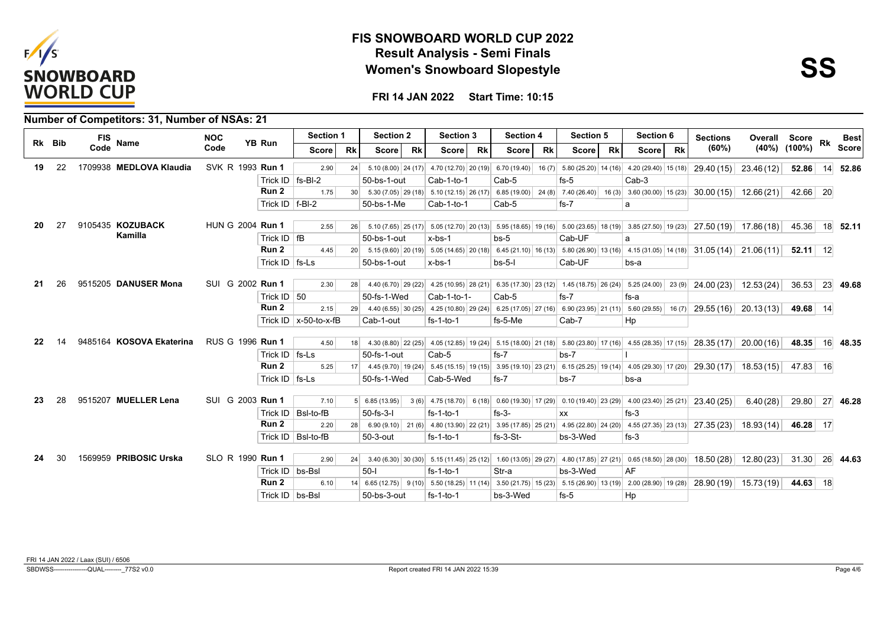



|    |        | Number of Competitors: 31, Number of NSAs: 21 |                         |                     |                                |                 |                      |           |                                                                                                                                                                                                                                                                                                                       |           |                  |           |              |           |           |           |                 |               |                    |    |              |
|----|--------|-----------------------------------------------|-------------------------|---------------------|--------------------------------|-----------------|----------------------|-----------|-----------------------------------------------------------------------------------------------------------------------------------------------------------------------------------------------------------------------------------------------------------------------------------------------------------------------|-----------|------------------|-----------|--------------|-----------|-----------|-----------|-----------------|---------------|--------------------|----|--------------|
|    | Rk Bib | <b>FIS</b><br><b>Name</b>                     | <b>NOC</b>              | <b>YB Run</b>       | <b>Section 1</b>               |                 | <b>Section 2</b>     |           | <b>Section 3</b>                                                                                                                                                                                                                                                                                                      |           | <b>Section 4</b> |           | Section 5    |           | Section 6 |           | <b>Sections</b> | Overall Score |                    | Rk | <b>Best</b>  |
|    |        | Code                                          | Code                    |                     | Score l                        | <b>Rk</b>       | <b>Score</b>         | <b>Rk</b> | Score                                                                                                                                                                                                                                                                                                                 | <b>Rk</b> | Score l          | <b>Rk</b> | <b>Score</b> | <b>Rk</b> | Score l   | <b>Rk</b> | (60%)           |               | $(40\%)$ $(100\%)$ |    | <b>Score</b> |
| 19 | 22     | 1709938 MEDLOVA Klaudia                       | SVK R 1993 <b>Run 1</b> |                     | 2.90                           | 24              |                      |           | 5.10 (8.00) 24 (17) 4.70 (12.70) 20 (19) 6.70 (19.40) 16 (7) 5.80 (25.20) 14 (16) 4.20 (29.40) 15 (18) 29.40 (15) 23.46 (12)                                                                                                                                                                                          |           |                  |           |              |           |           |           |                 |               | 52.86              | 14 | 52.86        |
|    |        |                                               |                         | Trick ID   fs-BI-2  |                                |                 | 50-bs-1-out          |           | Cab-1-to-1                                                                                                                                                                                                                                                                                                            |           | Cab-5            |           | $fs-5$       |           | $Cab-3$   |           |                 |               |                    |    |              |
|    |        |                                               |                         | Run 2               | 1.75                           | 30 <sup>1</sup> |                      |           | $5.30(7.05)$ 29 (18) $5.10(12.15)$ 26 (17) 6.85 (19.00) 24 (8) 7.40 (26.40) 16 (3) 3.60 (30.00) 15 (23) 30.00 (15) 12.66 (21)                                                                                                                                                                                         |           |                  |           |              |           |           |           |                 |               | 42.66 20           |    |              |
|    |        |                                               |                         | Trick $ID$   f-BI-2 |                                |                 | 50-bs-1-Me           |           | Cab-1-to-1                                                                                                                                                                                                                                                                                                            |           | Cab-5            |           | $fs-7$       |           | a         |           |                 |               |                    |    |              |
| 20 | 27     | 9105435 KOZUBACK                              | HUN G 2004 Run 1        |                     | 2.55                           | 26              |                      |           | $5.10$ (7.65) $\left  25 \right $ (17) $\left  5.05 \right $ (12.70) $\left  20 \right $ (13) $\left  5.95 \right $ (18.65) $\left  16 \right $ $\left  5.00 \right $ (23.65) $\left  18 \right $ (19) $\left  3.85 \right $ (27.50) $\left  19 \right $ (23) $\left  27.50 \right $ (19) $\left  17.86 \right $ (18) |           |                  |           |              |           |           |           |                 |               | 45.36              |    | 18 52.11     |
|    |        | Kamilla                                       |                         | Trick $ID$ fB       |                                |                 | 50-bs-1-out          |           | $x$ -bs-1                                                                                                                                                                                                                                                                                                             |           | $bs-5$           |           | Cab-UF       |           | a         |           |                 |               |                    |    |              |
|    |        |                                               |                         | Run <sub>2</sub>    | 4.45                           | 20              |                      |           | $5.15(9.60)(20(19)(5.05)(14.65)(20(18)(6.45(21.10)(16(13)(5.80(26.90)(13(16)(5.31.05)(14(18)(5.31.05(14)(5.31.06(11))))$                                                                                                                                                                                              |           |                  |           |              |           |           |           |                 |               | $52.11$ 12         |    |              |
|    |        |                                               |                         | Trick $ID$   fs-Ls  |                                |                 | 50-bs-1-out          |           | x-bs-1                                                                                                                                                                                                                                                                                                                |           | $bs-5-1$         |           | Cab-UF       |           | bs-a      |           |                 |               |                    |    |              |
| 21 | 26     | 9515205 DANUSER Mona                          | SUI G 2002 Run 1        |                     | 2.30                           |                 |                      |           | 28 4.40 (6.70) 29 (22) 4.25 (10.95) 28 (21) 6.35 (17.30) 23 (12) 1.45 (18.75) 26 (24) 5.25 (24.00) 23 (9) 24.00 (23) 12.53 (24)                                                                                                                                                                                       |           |                  |           |              |           |           |           |                 |               | 36.53              |    | 23 49.68     |
|    |        |                                               |                         | Trick ID $ 50$      |                                |                 | 50-fs-1-Wed          |           | Cab-1-to-1-                                                                                                                                                                                                                                                                                                           |           | Cab-5            |           | $fs-7$       |           | fs-a      |           |                 |               |                    |    |              |
|    |        |                                               |                         | Run 2               | 2.15                           | 29              |                      |           | 4.40 (6.55) 30 (25) 4.25 (10.80) 29 (24) 6.25 (17.05) 27 (16) 6.90 (23.95) 21 (11) 5.60 (29.55) 16 (7) 29.55 (16) 20.13 (13)                                                                                                                                                                                          |           |                  |           |              |           |           |           |                 |               | 49.68 14           |    |              |
|    |        |                                               |                         |                     | Trick ID $\vert x$ -50-to-x-fB |                 | Cab-1-out            |           | $fs-1-to-1$                                                                                                                                                                                                                                                                                                           |           | fs-5-Me          |           | Cab-7        |           | Hp        |           |                 |               |                    |    |              |
|    |        |                                               |                         |                     |                                |                 |                      |           |                                                                                                                                                                                                                                                                                                                       |           |                  |           |              |           |           |           |                 |               |                    |    |              |
| 22 |        | 9485164 KOSOVA Ekaterina                      | RUS G 1996 Run 1        |                     | 4.50                           | 18              |                      |           | 4.30 (8.80) 22 (25) 4.05 (12.85) 19 (24) 5.15 (18.00) 21 (18) 5.80 (23.80) 17 (16) 4.55 (28.35) 17 (15) 28.35 (17) 20.00 (16)                                                                                                                                                                                         |           |                  |           |              |           |           |           |                 |               | 48.35              |    | 16 48.35     |
|    |        |                                               |                         | Trick $ID$   fs-Ls  |                                |                 | 50-fs-1-out          |           | Cab-5                                                                                                                                                                                                                                                                                                                 |           | $fs-7$           |           | $bs-7$       |           |           |           |                 |               |                    |    |              |
|    |        |                                               |                         | Run 2               | 5.25                           | 17 <sup>1</sup> |                      |           | 4.45 (9.70)   19 (24)   5.45 (15.15)   19 (15)   3.95 (19.10)   23 (21)   6.15 (25.25)   19 (14)   4.05 (29.30)   17 (20)   29.30 (17)   18.53 (15)                                                                                                                                                                   |           |                  |           |              |           |           |           |                 |               | 47.83 16           |    |              |
|    |        |                                               |                         | Trick $ID$ fs-Ls    |                                |                 | 50-fs-1-Wed          |           | Cab-5-Wed                                                                                                                                                                                                                                                                                                             |           | $fs-7$           |           | $bs-7$       |           | bs-a      |           |                 |               |                    |    |              |
| 23 | 28     | 9515207 MUELLER Lena                          | SUI G 2003 Run 1        |                     | 7.10                           |                 | $5 \mid 6.85(13.95)$ |           | 3(6) 4.75 (18.70) 6 (18) 0.60 (19.30) 17 (29) 0.10 (19.40) 23 (29) 4.00 (23.40) 25 (21) 23.40 (25)                                                                                                                                                                                                                    |           |                  |           |              |           |           |           |                 | 6.40(28)      | 29.80              |    | 27 46.28     |
|    |        |                                               |                         |                     | Trick ID   BsI-to-fB           |                 | $50-fs-3-I$          |           | $fs-1-to-1$                                                                                                                                                                                                                                                                                                           |           | $fs-3-$          |           | XX           |           | $fs-3$    |           |                 |               |                    |    |              |
|    |        |                                               |                         | Run <sub>2</sub>    | 2.20                           | 28              |                      |           | 6.90 (9.10) 21 (6) 4.80 (13.90) 22 (21) 3.95 (17.85) 25 (21) 4.95 (22.80) 24 (20) 4.55 (27.35) 23 (13) 27.35 (23) 18.93 (14)                                                                                                                                                                                          |           |                  |           |              |           |           |           |                 |               | 46.28 17           |    |              |
|    |        |                                               |                         |                     | Trick ID   BsI-to-fB           |                 | 50-3-out             |           | $fs-1-to-1$                                                                                                                                                                                                                                                                                                           |           | $fs-3-St-$       |           | bs-3-Wed     |           | $fs-3$    |           |                 |               |                    |    |              |
|    |        |                                               |                         |                     |                                |                 |                      |           |                                                                                                                                                                                                                                                                                                                       |           |                  |           |              |           |           |           |                 |               |                    |    |              |
| 24 | 30     | 1569959 PRIBOSIC Urska                        | SLO R 1990 Run 1        |                     | 2.90                           | 24              |                      |           | 3.40 $(6.30)$ 30 $(30)$ 5.15 $(11.45)$ 25 $(12)$ 1.60 $(13.05)$ 29 $(27)$ 4.80 $(17.85)$ 27 $(21)$ 0.65 $(18.50)$ 28 $(30)$ 18.50 $(28)$ 12.80 $(23)$                                                                                                                                                                 |           |                  |           |              |           |           |           |                 |               | $31.30$ 26 44.63   |    |              |
|    |        |                                               |                         | Trick ID   bs-Bsl   |                                |                 | $50-I$               |           | $fs-1-to-1$                                                                                                                                                                                                                                                                                                           |           | Str-a            |           | bs-3-Wed     |           | AF        |           |                 |               |                    |    |              |
|    |        |                                               |                         | Run 2               | 6.10                           | 14              |                      |           | 6.65 (12.75) 9 (10) 5.50 (18.25) 11 (14) 3.50 (21.75) 15 (23) 5.15 (26.90) 13 (19) 2.00 (28.90) 19 (28) 28.90 (19) 15.73 (19)                                                                                                                                                                                         |           |                  |           |              |           |           |           |                 |               | 44.63 18           |    |              |
|    |        |                                               |                         | Trick ID   bs-Bsl   |                                |                 | 50-bs-3-out          |           | $fs-1-to-1$                                                                                                                                                                                                                                                                                                           |           | bs-3-Wed         |           | $fs-5$       |           | Hp        |           |                 |               |                    |    |              |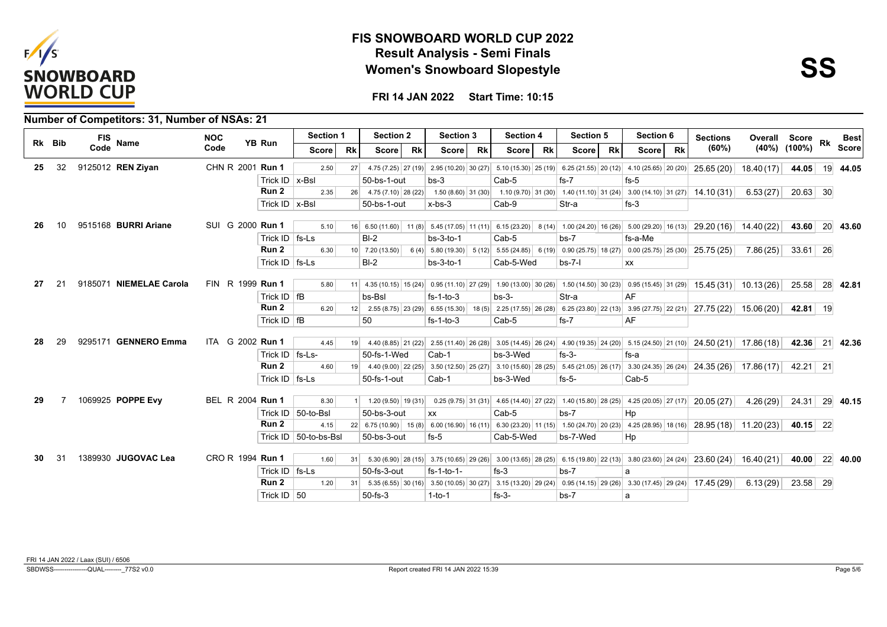



**FRI 14 JAN 2022 Start Time: 10:15**

|    |        |      | Number of Competitors: 31, Number of NSAs: 21 |            |                  |                    |                         |           |                              |           |                                                                                                      |           |                                                               |           |              |           |                                                                                                           |           |                                                                                                                                   |               |                    |    |              |
|----|--------|------|-----------------------------------------------|------------|------------------|--------------------|-------------------------|-----------|------------------------------|-----------|------------------------------------------------------------------------------------------------------|-----------|---------------------------------------------------------------|-----------|--------------|-----------|-----------------------------------------------------------------------------------------------------------|-----------|-----------------------------------------------------------------------------------------------------------------------------------|---------------|--------------------|----|--------------|
|    | Rk Bib | FIS  | Name                                          | <b>NOC</b> |                  | YB Run             | Section 1               |           | <b>Section 2</b>             |           | <b>Section 3</b>                                                                                     |           | <b>Section 4</b>                                              |           | Section 5    |           | Section 6                                                                                                 |           | <b>Sections</b>                                                                                                                   | Overall Score |                    | Rk | <b>Best</b>  |
|    |        | Code |                                               | Code       |                  |                    | Score                   | <b>Rk</b> | Score                        | <b>Rk</b> | Score                                                                                                | <b>Rk</b> | <b>Score</b>                                                  | <b>Rk</b> | <b>Score</b> | <b>Rk</b> | Score                                                                                                     | <b>Rk</b> | (60%)                                                                                                                             |               | $(40\%)$ $(100\%)$ |    | <b>Score</b> |
| 25 | 32     |      | 9125012 REN Ziyan                             |            | CHN R 2001 Run 1 |                    | 2.50                    | 27        |                              |           |                                                                                                      |           |                                                               |           |              |           | 4.75 (7.25) 27 (19) 2.95 (10.20) 30 (27) 5.10 (15.30) 25 (19) 6.25 (21.55) 20 (12) 4.10 (25.65) 20 (20)   |           | 25.65 (20)                                                                                                                        | 18.40(17)     | 44.05              |    | 19 44.05     |
|    |        |      |                                               |            |                  | Trick ID $x$ -Bsl  |                         |           | 50-bs-1-out                  |           | $bs-3$                                                                                               |           | Cab-5                                                         |           | $fs-7$       |           | $fs-5$                                                                                                    |           |                                                                                                                                   |               |                    |    |              |
|    |        |      |                                               |            |                  | Run 2              | 2.35                    |           | $26$ 4.75 (7.10) 28 (22)     |           |                                                                                                      |           |                                                               |           |              |           |                                                                                                           |           | 1.50 (8.60) 31 (30) 1.10 (9.70) 31 (30) 1.40 (11.10) 31 (24) 3.00 (14.10) 31 (27) 14.10 (31)                                      | 6.53(27)      | $20.63$ 30         |    |              |
|    |        |      |                                               |            |                  | Trick $ID$   x-BsI |                         |           | 50-bs-1-out                  |           | $x$ -bs-3                                                                                            |           | Cab-9                                                         |           | Str-a        |           | $fs-3$                                                                                                    |           |                                                                                                                                   |               |                    |    |              |
| 26 | 10     |      | 9515168 BURRI Ariane                          |            | SUI G 2000 Run 1 |                    | 5.10                    |           |                              |           |                                                                                                      |           |                                                               |           |              |           | 16 6.50 (11.60) 11 (8) 5.45 (17.05) 11 (11) 6.15 (23.20) 8 (14) 1.00 (24.20) 16 (26) 5.00 (29.20) 16 (13) |           |                                                                                                                                   |               | 43.60 20 43.60     |    |              |
|    |        |      |                                               |            |                  | Trick $ID$ $fs-Ls$ |                         |           | $B-I-2$                      |           | $bs-3-to-1$                                                                                          |           | Cab-5                                                         |           | $bs-7$       |           | fs-a-Me                                                                                                   |           | 29.20(16)                                                                                                                         | 14.40 (22)    |                    |    |              |
|    |        |      |                                               |            |                  | Run 2              | 6.30                    |           |                              |           |                                                                                                      |           |                                                               |           |              |           |                                                                                                           |           | 25.75 (25)                                                                                                                        | 7.86(25)      | $33.61$ 26         |    |              |
|    |        |      |                                               |            |                  |                    |                         |           | $10$ 7.20 (13.50)<br>$BI-2$  |           |                                                                                                      |           |                                                               |           |              |           |                                                                                                           |           |                                                                                                                                   |               |                    |    |              |
|    |        |      |                                               |            |                  | Trick $ID$   fs-Ls |                         |           |                              |           | $bs-3-to-1$                                                                                          |           | Cab-5-Wed                                                     |           | $bs-7-1$     |           | XX                                                                                                        |           |                                                                                                                                   |               |                    |    |              |
| 27 |        |      | 9185071 NIEMELAE Carola                       |            | FIN R 1999 Run 1 |                    | 5.80                    |           |                              |           |                                                                                                      |           |                                                               |           |              |           |                                                                                                           |           | 11 4.35 (10.15) 15 (24) 0.95 (11.10) 27 (29) 1.90 (13.00) 30 (26) 1.50 (14.50) 30 (23) 0.95 (15.45) 31 (29) 15.45 (31) 10.13 (26) |               | 25.58 28 42.81     |    |              |
|    |        |      |                                               |            |                  | Trick $ID$   fB    |                         |           | bs-Bsl                       |           | $fs-1-to-3$                                                                                          |           | $bs-3-$                                                       |           | Str-a        |           | AF                                                                                                        |           |                                                                                                                                   |               |                    |    |              |
|    |        |      |                                               |            |                  | Run 2              | 6.20                    |           |                              |           | $12 \begin{array}{ c c c c c } \hline 2.55 & (8.75) & 23 & (29) & 6.55 & (15.30) \hline \end{array}$ |           |                                                               |           |              |           |                                                                                                           |           | 18 (5) 2.25 (17.55) 26 (28) 6.25 (23.80) 22 (13) 3.95 (27.75) 22 (21) 27.75 (22) 15.06 (20)                                       |               | 42.81 19           |    |              |
|    |        |      |                                               |            |                  | Trick $ID$   fB    |                         |           | 50                           |           | $fs-1-to-3$                                                                                          |           | Cab-5                                                         |           | $fs-7$       |           | AF                                                                                                        |           |                                                                                                                                   |               |                    |    |              |
|    |        |      |                                               |            |                  |                    |                         |           |                              |           |                                                                                                      |           |                                                               |           |              |           |                                                                                                           |           |                                                                                                                                   |               |                    |    |              |
| 28 | 29     |      | 9295171 GENNERO Emma                          |            | ITA G 2002 Run 1 |                    | 4.45                    | 19        |                              |           |                                                                                                      |           | 4.40 (8.85) 21 (22) 2.55 (11.40) 26 (28) 3.05 (14.45) 26 (24) |           |              |           |                                                                                                           |           | 4.90 (19.35) 24 (20) 5.15 (24.50) 21 (10) 24.50 (21) 17.86 (18)                                                                   |               | 42.36 21 42.36     |    |              |
|    |        |      |                                               |            |                  | Trick ID   fs-Ls-  |                         |           | 50-fs-1-Wed                  |           | $Cab-1$                                                                                              |           | bs-3-Wed                                                      |           | $fs-3-$      |           | fs-a                                                                                                      |           |                                                                                                                                   |               |                    |    |              |
|    |        |      |                                               |            |                  | Run 2              | 4.60                    |           |                              |           |                                                                                                      |           |                                                               |           |              |           |                                                                                                           |           | 19 4.40 (9.00) 22 (25) 3.50 (12.50) 25 (27) 3.10 (15.60) 28 (25) 5.45 (21.05) 26 (17) 3.30 (24.35) 26 (24) 24.35 (26) 17.86 (17)  |               | 42.21 21           |    |              |
|    |        |      |                                               |            |                  | Trick ID   fs-Ls   |                         |           | 50-fs-1-out                  |           | Cab-1                                                                                                |           | bs-3-Wed                                                      |           | $fs-5-$      |           | Cab-5                                                                                                     |           |                                                                                                                                   |               |                    |    |              |
| 29 |        |      | 1069925 POPPE Evy                             |            | BEL R 2004 Run 1 |                    |                         |           |                              |           |                                                                                                      |           |                                                               |           |              |           |                                                                                                           |           |                                                                                                                                   |               |                    |    |              |
|    |        |      |                                               |            |                  |                    | 8.30                    |           | $1 \mid 1.20(9.50)   19(31)$ |           |                                                                                                      |           |                                                               |           |              |           | $0.25(9.75)$ 31 (31) 4.65 (14.40) 27 (22) 1.40 (15.80) 28 (25) 4.25 (20.05) 27 (17)                       |           | 20.05 (27)                                                                                                                        | 4.26(29)      | 24.31              |    | 29 40.15     |
|    |        |      |                                               |            |                  |                    | Trick ID   50-to-Bsl    |           | 50-bs-3-out                  |           | <b>XX</b>                                                                                            |           | Cab-5                                                         |           | $bs-7$       |           | Hp                                                                                                        |           |                                                                                                                                   |               |                    |    |              |
|    |        |      |                                               |            |                  | Run 2              | 4.15                    |           |                              |           |                                                                                                      |           |                                                               |           |              |           |                                                                                                           |           | 22 6.75 (10.90) 15 (8) 6.00 (16.90) 16 (11) 6.30 (23.20) 11 (15) 1.50 (24.70) 20 (23) 4.25 (28.95) 18 (16) 28.95 (18) 11.20 (23)  |               | $40.15$ 22         |    |              |
|    |        |      |                                               |            |                  |                    | Trick ID   50-to-bs-Bsl |           | 50-bs-3-out                  |           | fs-5                                                                                                 |           | Cab-5-Wed                                                     |           | bs-7-Wed     |           | Hp                                                                                                        |           |                                                                                                                                   |               |                    |    |              |
| 30 |        |      | 1389930 JUGOVAC Lea                           |            | CRO R 1994 Run 1 |                    | 1.60                    | 31        |                              |           |                                                                                                      |           |                                                               |           |              |           |                                                                                                           |           | 5.30 (6.90) 28 (15) 3.75 (10.65) 29 (26) 3.00 (13.65) 28 (25) 6.15 (19.80) 22 (13) 3.80 (23.60) 24 (24) 23.60 (24)                | 16.40(21)     | 40.00 22 40.00     |    |              |
|    |        |      |                                               |            |                  | Trick $ID$   fs-Ls |                         |           | 50-fs-3-out                  |           | $fs-1-to-1-$                                                                                         |           | $fs-3$                                                        |           | $bs-7$       |           |                                                                                                           |           |                                                                                                                                   |               |                    |    |              |
|    |        |      |                                               |            |                  | Run 2              | 1.20                    | 31        |                              |           |                                                                                                      |           |                                                               |           |              |           |                                                                                                           |           | 5.35 (6.55) 30 (16) 3.50 (10.05) 30 (27) 3.15 (13.20) 29 (24) 0.95 (14.15) 29 (26) 3.30 (17.45) 29 (24) 17.45 (29)                | 6.13(29)      | 23.58 29           |    |              |
|    |        |      |                                               |            |                  | Trick ID $ 50$     |                         |           | $50-fs-3$                    |           | $1-to-1$                                                                                             |           | $fs-3-$                                                       |           | $bs-7$       |           | a                                                                                                         |           |                                                                                                                                   |               |                    |    |              |

FRI 14 JAN 2022 / Laax (SUI) / 6506

SBDWSS----------------QUAL--------\_77S2 v0.0 Report created FRI 14 JAN 2022 15:39 Page 5/6